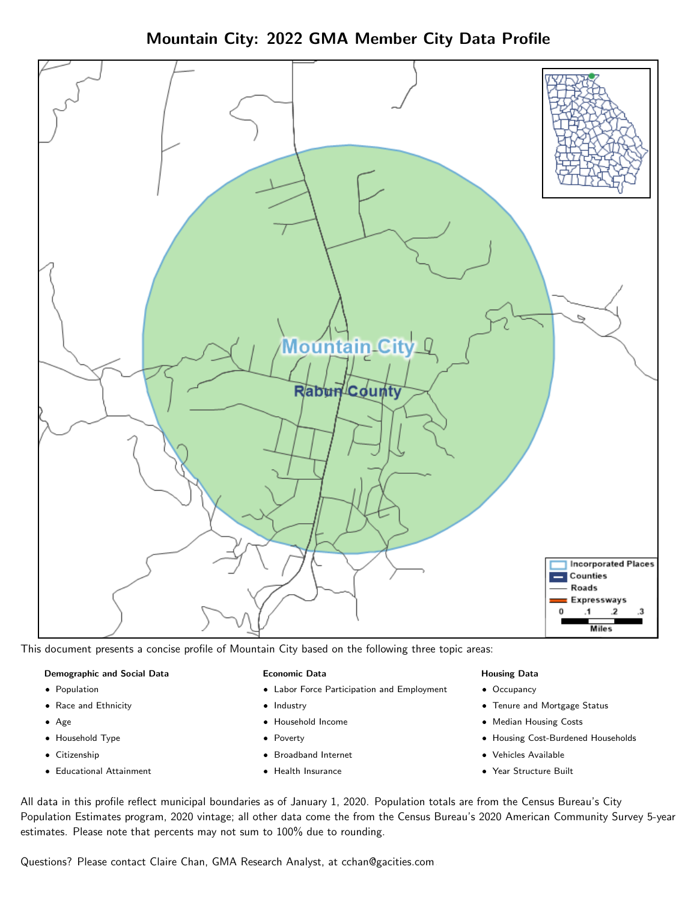Mountain City: 2022 GMA Member City Data Profile



This document presents a concise profile of Mountain City based on the following three topic areas:

#### Demographic and Social Data

- **•** Population
- Race and Ethnicity
- Age
- Household Type
- **Citizenship**
- Educational Attainment

#### Economic Data

- Labor Force Participation and Employment
- Industry
- Household Income
- Poverty
- Broadband Internet
- Health Insurance

### Housing Data

- Occupancy
- Tenure and Mortgage Status
- Median Housing Costs
- Housing Cost-Burdened Households
- Vehicles Available
- Year Structure Built

All data in this profile reflect municipal boundaries as of January 1, 2020. Population totals are from the Census Bureau's City Population Estimates program, 2020 vintage; all other data come the from the Census Bureau's 2020 American Community Survey 5-year estimates. Please note that percents may not sum to 100% due to rounding.

Questions? Please contact Claire Chan, GMA Research Analyst, at [cchan@gacities.com.](mailto:cchan@gacities.com)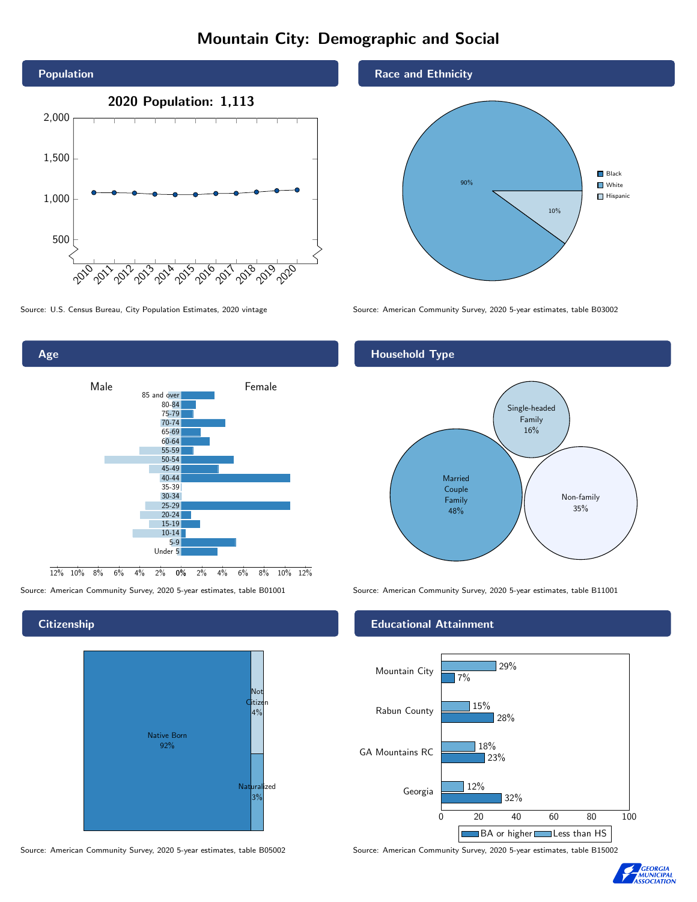# Mountain City: Demographic and Social





# **Citizenship**



Source: American Community Survey, 2020 5-year estimates, table B05002 Source: American Community Survey, 2020 5-year estimates, table B15002

## Race and Ethnicity



Source: U.S. Census Bureau, City Population Estimates, 2020 vintage Source: American Community Survey, 2020 5-year estimates, table B03002

# Household Type



Source: American Community Survey, 2020 5-year estimates, table B01001 Source: American Community Survey, 2020 5-year estimates, table B11001

## Educational Attainment



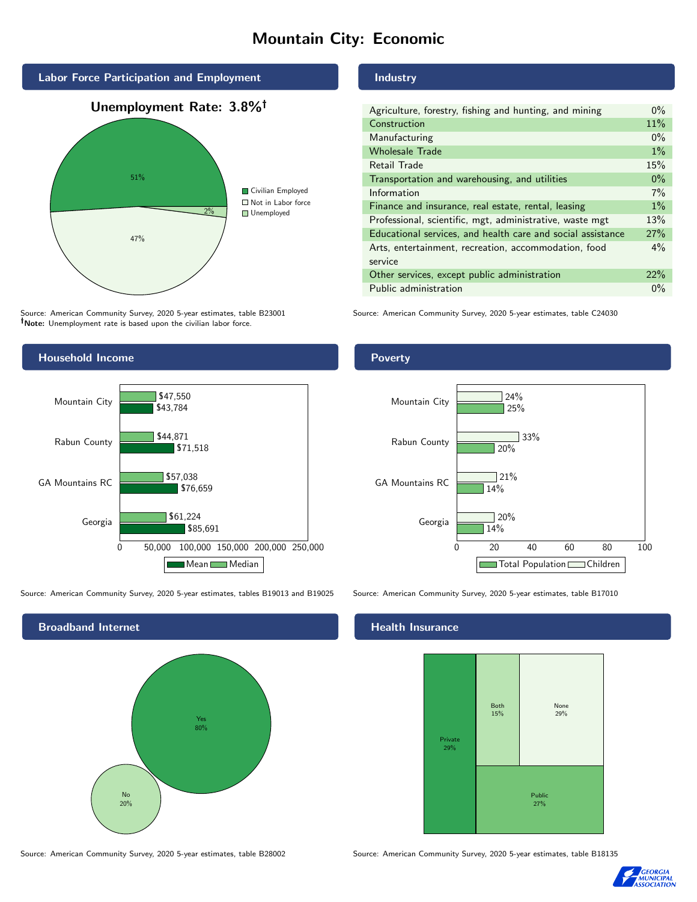# Mountain City: Economic



Source: American Community Survey, 2020 5-year estimates, table B23001 Note: Unemployment rate is based upon the civilian labor force.

#### Industry

| Agriculture, forestry, fishing and hunting, and mining      | $0\%$ |
|-------------------------------------------------------------|-------|
| Construction                                                | 11%   |
| Manufacturing                                               | $0\%$ |
| <b>Wholesale Trade</b>                                      | $1\%$ |
| <b>Retail Trade</b>                                         | 15%   |
| Transportation and warehousing, and utilities               | $0\%$ |
| Information                                                 | 7%    |
| Finance and insurance, real estate, rental, leasing         | $1\%$ |
| Professional, scientific, mgt, administrative, waste mgt    | 13%   |
| Educational services, and health care and social assistance | 27%   |
| Arts, entertainment, recreation, accommodation, food        | $4\%$ |
| service                                                     |       |
| Other services, except public administration                | 22%   |
| Public administration                                       | $0\%$ |

Source: American Community Survey, 2020 5-year estimates, table C24030



Source: American Community Survey, 2020 5-year estimates, tables B19013 and B19025 Source: American Community Survey, 2020 5-year estimates, table B17010

Broadband Internet No 20% Yes 80%

#### Health Insurance



Source: American Community Survey, 2020 5-year estimates, table B28002 Source: American Community Survey, 2020 5-year estimates, table B18135



# Poverty